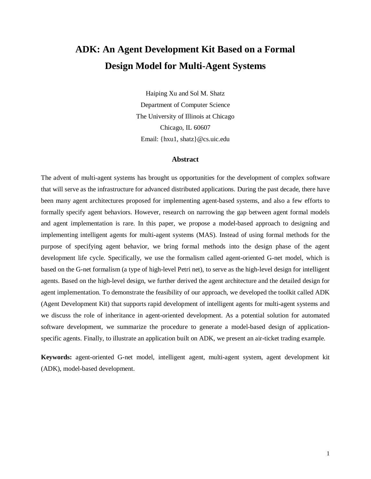# **ADK: An Agent Development Kit Based on a Formal Design Model for Multi-Agent Systems**

Haiping Xu and Sol M. Shatz Department of Computer Science The University of Illinois at Chicago Chicago, IL 60607 Email: {hxu1, shatz}@cs.uic.edu

## **Abstract**

The advent of multi-agent systems has brought us opportunities for the development of complex software that will serve as the infrastructure for advanced distributed applications. During the past decade, there have been many agent architectures proposed for implementing agent-based systems, and also a few efforts to formally specify agent behaviors. However, research on narrowing the gap between agent formal models and agent implementation is rare. In this paper, we propose a model-based approach to designing and implementing intelligent agents for multi-agent systems (MAS). Instead of using formal methods for the purpose of specifying agent behavior, we bring formal methods into the design phase of the agent development life cycle. Specifically, we use the formalism called agent-oriented G-net model, which is based on the G-net formalism (a type of high-level Petri net), to serve as the high-level design for intelligent agents. Based on the high-level design, we further derived the agent architecture and the detailed design for agent implementation. To demonstrate the feasibility of our approach, we developed the toolkit called ADK (Agent Development Kit) that supports rapid development of intelligent agents for multi-agent systems and we discuss the role of inheritance in agent-oriented development. As a potential solution for automated software development, we summarize the procedure to generate a model-based design of applicationspecific agents. Finally, to illustrate an application built on ADK, we present an air-ticket trading example.

**Keywords:** agent-oriented G-net model, intelligent agent, multi-agent system, agent development kit (ADK), model-based development.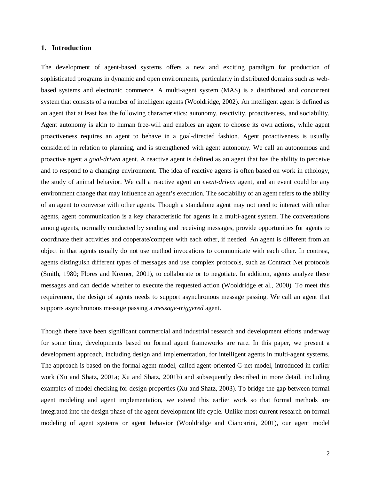# **1. Introduction**

The development of agent-based systems offers a new and exciting paradigm for production of sophisticated programs in dynamic and open environments, particularly in distributed domains such as webbased systems and electronic commerce. A multi-agent system (MAS) is a distributed and concurrent system that consists of a number of intelligent agents (Wooldridge, 2002). An intelligent agent is defined as an agent that at least has the following characteristics: autonomy, reactivity, proactiveness, and sociability. Agent autonomy is akin to human free-will and enables an agent to choose its own actions, while agent proactiveness requires an agent to behave in a goal-directed fashion. Agent proactiveness is usually considered in relation to planning, and is strengthened with agent autonomy. We call an autonomous and proactive agent a *goal-driven* agent. A reactive agent is defined as an agent that has the ability to perceive and to respond to a changing environment. The idea of reactive agents is often based on work in ethology, the study of animal behavior. We call a reactive agent an *event-driven* agent, and an event could be any environment change that may influence an agent's execution. The sociability of an agent refers to the ability of an agent to converse with other agents. Though a standalone agent may not need to interact with other agents, agent communication is a key characteristic for agents in a multi-agent system. The conversations among agents, normally conducted by sending and receiving messages, provide opportunities for agents to coordinate their activities and cooperate/compete with each other, if needed. An agent is different from an object in that agents usually do not use method invocations to communicate with each other. In contrast, agents distinguish different types of messages and use complex protocols, such as Contract Net protocols (Smith, 1980; Flores and Kremer, 2001), to collaborate or to negotiate. In addition, agents analyze these messages and can decide whether to execute the requested action (Wooldridge et al., 2000). To meet this requirement, the design of agents needs to support asynchronous message passing. We call an agent that supports asynchronous message passing a *message-triggered* agent.

Though there have been significant commercial and industrial research and development efforts underway for some time, developments based on formal agent frameworks are rare. In this paper, we present a development approach, including design and implementation, for intelligent agents in multi-agent systems. The approach is based on the formal agent model, called agent-oriented G-net model, introduced in earlier work (Xu and Shatz, 2001a; Xu and Shatz, 2001b) and subsequently described in more detail, including examples of model checking for design properties (Xu and Shatz, 2003). To bridge the gap between formal agent modeling and agent implementation, we extend this earlier work so that formal methods are integrated into the design phase of the agent development life cycle. Unlike most current research on formal modeling of agent systems or agent behavior (Wooldridge and Ciancarini, 2001), our agent model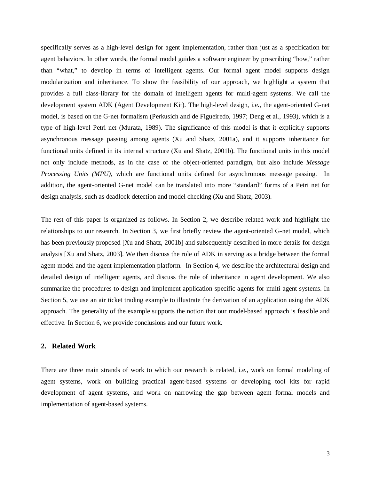specifically serves as a high-level design for agent implementation, rather than just as a specification for agent behaviors. In other words, the formal model guides a software engineer by prescribing "how," rather than "what," to develop in terms of intelligent agents. Our formal agent model supports design modularization and inheritance. To show the feasibility of our approach, we highlight a system that provides a full class-library for the domain of intelligent agents for multi-agent systems. We call the development system ADK (Agent Development Kit). The high-level design, i.e., the agent-oriented G-net model, is based on the G-net formalism (Perkusich and de Figueiredo, 1997; Deng et al., 1993), which is a type of high-level Petri net (Murata, 1989). The significance of this model is that it explicitly supports asynchronous message passing among agents (Xu and Shatz, 2001a), and it supports inheritance for functional units defined in its internal structure (Xu and Shatz, 2001b). The functional units in this model not only include methods, as in the case of the object-oriented paradigm, but also include *Message Processing Units (MPU)*, which are functional units defined for asynchronous message passing. In addition, the agent-oriented G-net model can be translated into more "standard" forms of a Petri net for design analysis, such as deadlock detection and model checking (Xu and Shatz, 2003).

The rest of this paper is organized as follows. In Section 2, we describe related work and highlight the relationships to our research. In Section 3, we first briefly review the agent-oriented G-net model, which has been previously proposed [Xu and Shatz, 2001b] and subsequently described in more details for design analysis [Xu and Shatz, 2003]. We then discuss the role of ADK in serving as a bridge between the formal agent model and the agent implementation platform. In Section 4, we describe the architectural design and detailed design of intelligent agents, and discuss the role of inheritance in agent development. We also summarize the procedures to design and implement application-specific agents for multi-agent systems. In Section 5, we use an air ticket trading example to illustrate the derivation of an application using the ADK approach. The generality of the example supports the notion that our model-based approach is feasible and effective. In Section 6, we provide conclusions and our future work.

## **2. Related Work**

There are three main strands of work to which our research is related, i.e., work on formal modeling of agent systems, work on building practical agent-based systems or developing tool kits for rapid development of agent systems, and work on narrowing the gap between agent formal models and implementation of agent-based systems.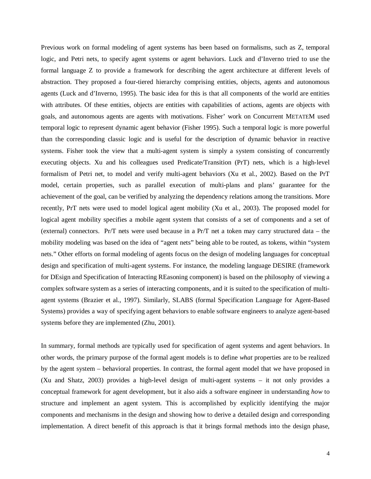Previous work on formal modeling of agent systems has been based on formalisms, such as Z, temporal logic, and Petri nets, to specify agent systems or agent behaviors. Luck and d'Inverno tried to use the formal language Z to provide a framework for describing the agent architecture at different levels of abstraction. They proposed a four-tiered hierarchy comprising entities, objects, agents and autonomous agents (Luck and d'Inverno, 1995). The basic idea for this is that all components of the world are entities with attributes. Of these entities, objects are entities with capabilities of actions, agents are objects with goals, and autonomous agents are agents with motivations. Fisher' work on Concurrent METATEM used temporal logic to represent dynamic agent behavior (Fisher 1995). Such a temporal logic is more powerful than the corresponding classic logic and is useful for the description of dynamic behavior in reactive systems. Fisher took the view that a multi-agent system is simply a system consisting of concurrently executing objects. Xu and his colleagues used Predicate/Transition (PrT) nets, which is a high-level formalism of Petri net, to model and verify multi-agent behaviors (Xu et al., 2002). Based on the PrT model, certain properties, such as parallel execution of multi-plans and plans' guarantee for the achievement of the goal, can be verified by analyzing the dependency relations among the transitions. More recently, PrT nets were used to model logical agent mobility (Xu et al., 2003). The proposed model for logical agent mobility specifies a mobile agent system that consists of a set of components and a set of (external) connectors. Pr/T nets were used because in a Pr/T net a token may carry structured data – the mobility modeling was based on the idea of "agent nets" being able to be routed, as tokens, within "system nets." Other efforts on formal modeling of agents focus on the design of modeling languages for conceptual design and specification of multi-agent systems. For instance, the modeling language DESIRE (framework for DEsign and Specification of Interacting REasoning component) is based on the philosophy of viewing a complex software system as a series of interacting components, and it is suited to the specification of multiagent systems (Brazier et al., 1997). Similarly, SLABS (formal Specification Language for Agent-Based Systems) provides a way of specifying agent behaviors to enable software engineers to analyze agent-based systems before they are implemented (Zhu, 2001).

In summary, formal methods are typically used for specification of agent systems and agent behaviors. In other words, the primary purpose of the formal agent models is to define *what* properties are to be realized by the agent system – behavioral properties. In contrast, the formal agent model that we have proposed in (Xu and Shatz, 2003) provides a high-level design of multi-agent systems – it not only provides a conceptual framework for agent development, but it also aids a software engineer in understanding *how* to structure and implement an agent system. This is accomplished by explicitly identifying the major components and mechanisms in the design and showing how to derive a detailed design and corresponding implementation. A direct benefit of this approach is that it brings formal methods into the design phase,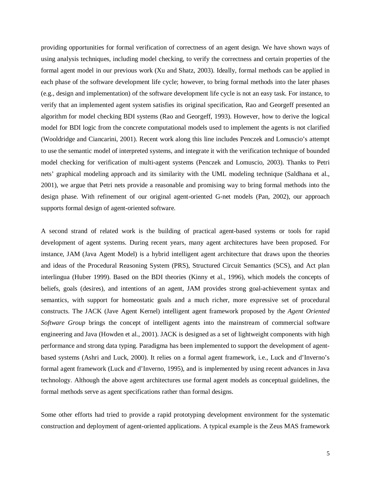providing opportunities for formal verification of correctness of an agent design. We have shown ways of using analysis techniques, including model checking, to verify the correctness and certain properties of the formal agent model in our previous work (Xu and Shatz, 2003). Ideally, formal methods can be applied in each phase of the software development life cycle; however, to bring formal methods into the later phases (e.g., design and implementation) of the software development life cycle is not an easy task. For instance, to verify that an implemented agent system satisfies its original specification, Rao and Georgeff presented an algorithm for model checking BDI systems (Rao and Georgeff, 1993). However, how to derive the logical model for BDI logic from the concrete computational models used to implement the agents is not clarified (Wooldridge and Ciancarini, 2001). Recent work along this line includes Penczek and Lomuscio's attempt to use the semantic model of interpreted systems, and integrate it with the verification technique of bounded model checking for verification of multi-agent systems (Penczek and Lomuscio, 2003). Thanks to Petri nets' graphical modeling approach and its similarity with the UML modeling technique (Saldhana et al., 2001), we argue that Petri nets provide a reasonable and promising way to bring formal methods into the design phase. With refinement of our original agent-oriented G-net models (Pan, 2002), our approach supports formal design of agent-oriented software.

A second strand of related work is the building of practical agent-based systems or tools for rapid development of agent systems. During recent years, many agent architectures have been proposed. For instance, JAM (Java Agent Model) is a hybrid intelligent agent architecture that draws upon the theories and ideas of the Procedural Reasoning System (PRS), Structured Circuit Semantics (SCS), and Act plan interlingua (Huber 1999). Based on the BDI theories (Kinny et al., 1996), which models the concepts of beliefs, goals (desires), and intentions of an agent, JAM provides strong goal-achievement syntax and semantics, with support for homeostatic goals and a much richer, more expressive set of procedural constructs. The JACK (Jave Agent Kernel) intelligent agent framework proposed by the *Agent Oriented Software Group* brings the concept of intelligent agents into the mainstream of commercial software engineering and Java (Howden et al., 2001). JACK is designed as a set of lightweight components with high performance and strong data typing. Paradigma has been implemented to support the development of agentbased systems (Ashri and Luck, 2000). It relies on a formal agent framework, i.e., Luck and d'Inverno's formal agent framework (Luck and d'Inverno, 1995), and is implemented by using recent advances in Java technology. Although the above agent architectures use formal agent models as conceptual guidelines, the formal methods serve as agent specifications rather than formal designs.

Some other efforts had tried to provide a rapid prototyping development environment for the systematic construction and deployment of agent-oriented applications. A typical example is the Zeus MAS framework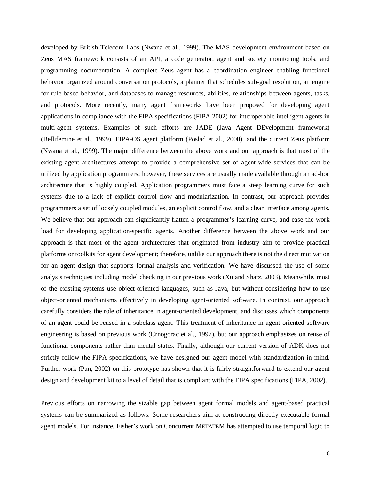developed by British Telecom Labs (Nwana et al., 1999). The MAS development environment based on Zeus MAS framework consists of an API, a code generator, agent and society monitoring tools, and programming documentation. A complete Zeus agent has a coordination engineer enabling functional behavior organized around conversation protocols, a planner that schedules sub-goal resolution, an engine for rule-based behavior, and databases to manage resources, abilities, relationships between agents, tasks, and protocols. More recently, many agent frameworks have been proposed for developing agent applications in compliance with the FIPA specifications (FIPA 2002) for interoperable intelligent agents in multi-agent systems. Examples of such efforts are JADE (Java Agent DEvelopment framework) (Bellifemine et al., 1999), FIPA-OS agent platform (Poslad et al., 2000), and the current Zeus platform (Nwana et al., 1999). The major difference between the above work and our approach is that most of the existing agent architectures attempt to provide a comprehensive set of agent-wide services that can be utilized by application programmers; however, these services are usually made available through an ad-hoc architecture that is highly coupled. Application programmers must face a steep learning curve for such systems due to a lack of explicit control flow and modularization. In contrast, our approach provides programmers a set of loosely coupled modules, an explicit control flow, and a clean interface among agents. We believe that our approach can significantly flatten a programmer's learning curve, and ease the work load for developing application-specific agents. Another difference between the above work and our approach is that most of the agent architectures that originated from industry aim to provide practical platforms or toolkits for agent development; therefore, unlike our approach there is not the direct motivation for an agent design that supports formal analysis and verification. We have discussed the use of some analysis techniques including model checking in our previous work (Xu and Shatz, 2003). Meanwhile, most of the existing systems use object-oriented languages, such as Java, but without considering how to use object-oriented mechanisms effectively in developing agent-oriented software. In contrast, our approach carefully considers the role of inheritance in agent-oriented development, and discusses which components of an agent could be reused in a subclass agent. This treatment of inheritance in agent-oriented software engineering is based on previous work (Crnogorac et al., 1997), but our approach emphasizes on reuse of functional components rather than mental states. Finally, although our current version of ADK does not strictly follow the FIPA specifications, we have designed our agent model with standardization in mind. Further work (Pan, 2002) on this prototype has shown that it is fairly straightforward to extend our agent design and development kit to a level of detail that is compliant with the FIPA specifications (FIPA, 2002).

Previous efforts on narrowing the sizable gap between agent formal models and agent-based practical systems can be summarized as follows. Some researchers aim at constructing directly executable formal agent models. For instance, Fisher's work on Concurrent METATEM has attempted to use temporal logic to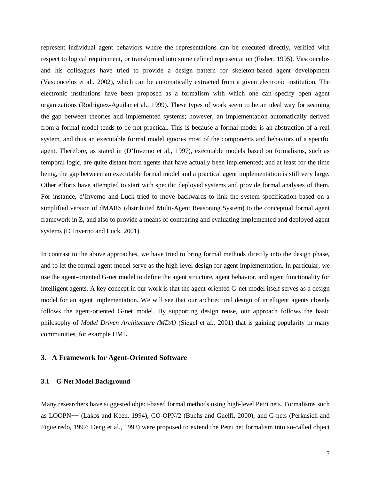represent individual agent behaviors where the representations can be executed directly, verified with respect to logical requirement, or transformed into some refined representation (Fisher, 1995). Vasconcelos and his colleagues have tried to provide a design pattern for skeleton-based agent development (Vasconcelos et al., 2002), which can be automatically extracted from a given electronic institution. The electronic institutions have been proposed as a formalism with which one can specify open agent organizations (Rodriguez-Aguilar et al., 1999). These types of work seem to be an ideal way for seaming the gap between theories and implemented systems; however, an implementation automatically derived from a formal model tends to be not practical. This is because a formal model is an abstraction of a real system, and thus an executable formal model ignores most of the components and behaviors of a specific agent. Therefore, as stated in (D'Inverno et al., 1997), executable models based on formalisms, such as temporal logic, are quite distant from agents that have actually been implemented; and at least for the time being, the gap between an executable formal model and a practical agent implementation is still very large. Other efforts have attempted to start with specific deployed systems and provide formal analyses of them. For instance, d'Inverno and Luck tried to move backwards to link the system specification based on a simplified version of dMARS (distributed Multi-Agent Reasoning System) to the conceptual formal agent framework in Z, and also to provide a means of comparing and evaluating implemented and deployed agent systems (D'Inverno and Luck, 2001).

In contrast to the above approaches, we have tried to bring formal methods directly into the design phase, and to let the formal agent model serve as the high-level design for agent implementation. In particular, we use the agent-oriented G-net model to define the agent structure, agent behavior, and agent functionality for intelligent agents. A key concept in our work is that the agent-oriented G-net model itself serves as a design model for an agent implementation. We will see that our architectural design of intelligent agents closely follows the agent-oriented G-net model. By supporting design reuse, our approach follows the basic philosophy of *Model Driven Architecture (MDA)* (Siegel et al., 2001) that is gaining popularity in many communities, for example UML.

## **3. A Framework for Agent-Oriented Software**

#### **3.1 G-Net Model Background**

Many researchers have suggested object-based formal methods using high-level Petri nets. Formalisms such as LOOPN++ (Lakos and Keen, 1994), CO-OPN/2 (Buchs and Guelfi, 2000), and G-nets (Perkusich and Figueiredo, 1997; Deng et al., 1993) were proposed to extend the Petri net formalism into so-called object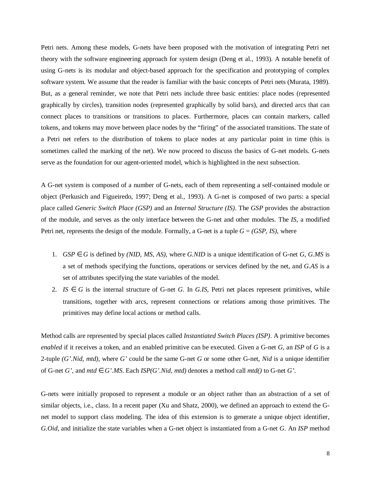Petri nets. Among these models, G-nets have been proposed with the motivation of integrating Petri net theory with the software engineering approach for system design (Deng et al., 1993). A notable benefit of using G-nets is its modular and object-based approach for the specification and prototyping of complex software system. We assume that the reader is familiar with the basic concepts of Petri nets (Murata, 1989). But, as a general reminder, we note that Petri nets include three basic entities: place nodes (represented graphically by circles), transition nodes (represented graphically by solid bars), and directed arcs that can connect places to transitions or transitions to places. Furthermore, places can contain markers, called tokens, and tokens may move between place nodes by the "firing" of the associated transitions. The state of a Petri net refers to the distribution of tokens to place nodes at any particular point in time (this is sometimes called the marking of the net). We now proceed to discuss the basics of G-net models. G-nets serve as the foundation for our agent-oriented model, which is highlighted in the next subsection.

A G-net system is composed of a number of G-nets, each of them representing a self-contained module or object (Perkusich and Figueiredo, 1997; Deng et al., 1993). A G-net is composed of two parts: a special place called *Generic Switch Place (GSP)* and an *Internal Structure (IS)*. The *GSP* provides the abstraction of the module, and serves as the only interface between the G-net and other modules. The *IS*, a modified Petri net, represents the design of the module. Formally, a G-net is a tuple  $G = (GSP, IS)$ , where

- 1. *GSP* ∈ *G* is defined by *(NID, MS, AS)*, where *G.NID* is a unique identification of G-net *G*, *G.MS* is a set of methods specifying the functions, operations or services defined by the net, and *G.AS* is a set of attributes specifying the state variables of the model.
- 2. *IS*  $\in$  *G* is the internal structure of G-net *G*. In *G.IS*, Petri net places represent primitives, while transitions, together with arcs, represent connections or relations among those primitives. The primitives may define local actions or method calls.

Method calls are represented by special places called *Instantiated Switch Places (ISP)*. A primitive becomes *enabled* if it receives a token, and an enabled primitive can be executed. Given a G-net *G*, an *ISP* of *G* is a 2-tuple *(G'.Nid, mtd)*, where *G'* could be the same G-net *G* or some other G-net, *Nid* is a unique identifier of G-net *G'*, and *mtd* ∈ *G'.MS*. Each *ISP(G'.Nid, mtd)* denotes a method call *mtd()* to G-net *G'*.

G-nets were initially proposed to represent a module or an object rather than an abstraction of a set of similar objects, i.e., class. In a recent paper (Xu and Shatz, 2000), we defined an approach to extend the Gnet model to support class modeling. The idea of this extension is to generate a unique object identifier, *G.Oid*, and initialize the state variables when a G-net object is instantiated from a G-net *G*. An *ISP* method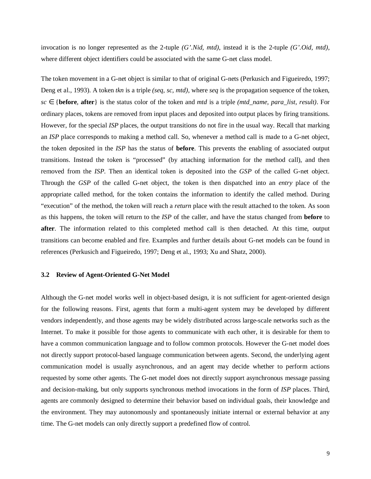invocation is no longer represented as the 2-tuple *(G'.Nid, mtd)*, instead it is the 2-tuple *(G'.Oid, mtd)*, where different object identifiers could be associated with the same G-net class model.

The token movement in a G-net object is similar to that of original G-nets (Perkusich and Figueiredo, 1997; Deng et al., 1993). A token *tkn* is a triple *(seq, sc, mtd)*, where *seq* is the propagation sequence of the token,  $sc \in \{\text{before, after}\}\$ is the status color of the token and *mtd* is a triple *(mtd\_name, para\_list, result)*. For ordinary places, tokens are removed from input places and deposited into output places by firing transitions. However, for the special *ISP* places, the output transitions do not fire in the usual way. Recall that marking an *ISP* place corresponds to making a method call. So, whenever a method call is made to a G-net object, the token deposited in the *ISP* has the status of **before**. This prevents the enabling of associated output transitions. Instead the token is "processed" (by attaching information for the method call), and then removed from the *ISP*. Then an identical token is deposited into the *GSP* of the called G-net object. Through the *GSP* of the called G-net object, the token is then dispatched into an *entry* place of the appropriate called method, for the token contains the information to identify the called method. During "execution" of the method, the token will reach a *return* place with the result attached to the token. As soon as this happens, the token will return to the *ISP* of the caller, and have the status changed from **before** to **after**. The information related to this completed method call is then detached. At this time, output transitions can become enabled and fire. Examples and further details about G-net models can be found in references (Perkusich and Figueiredo, 1997; Deng et al., 1993; Xu and Shatz, 2000).

#### **3.2 Review of Agent-Oriented G-Net Model**

Although the G-net model works well in object-based design, it is not sufficient for agent-oriented design for the following reasons. First, agents that form a multi-agent system may be developed by different vendors independently, and those agents may be widely distributed across large-scale networks such as the Internet. To make it possible for those agents to communicate with each other, it is desirable for them to have a common communication language and to follow common protocols. However the G-net model does not directly support protocol-based language communication between agents. Second, the underlying agent communication model is usually asynchronous, and an agent may decide whether to perform actions requested by some other agents. The G-net model does not directly support asynchronous message passing and decision-making, but only supports synchronous method invocations in the form of *ISP* places. Third, agents are commonly designed to determine their behavior based on individual goals, their knowledge and the environment. They may autonomously and spontaneously initiate internal or external behavior at any time. The G-net models can only directly support a predefined flow of control.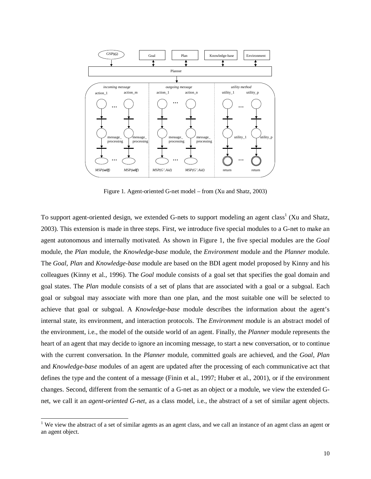

Figure 1. Agent-oriented G-net model – from (Xu and Shatz, 2003)

To support agent-oriented design, we extended G-nets to support modeling an agent class<sup>1</sup> (Xu and Shatz, 2003). This extension is made in three steps. First, we introduce five special modules to a G-net to make an agent autonomous and internally motivated. As shown in Figure 1, the five special modules are the *Goal* module, the *Plan* module, the *Knowledge-base* module, the *Environment* module and the *Planner* module. The *Goal*, *Plan* and *Knowledge-base* module are based on the BDI agent model proposed by Kinny and his colleagues (Kinny et al., 1996). The *Goal* module consists of a goal set that specifies the goal domain and goal states. The *Plan* module consists of a set of plans that are associated with a goal or a subgoal. Each goal or subgoal may associate with more than one plan, and the most suitable one will be selected to achieve that goal or subgoal. A *Knowledge-base* module describes the information about the agent's internal state, its environment, and interaction protocols. The *Environment* module is an abstract model of the environment, i.e., the model of the outside world of an agent. Finally, the *Planner* module represents the heart of an agent that may decide to ignore an incoming message, to start a new conversation, or to continue with the current conversation. In the *Planner* module, committed goals are achieved, and the *Goal*, *Plan* and *Knowledge-base* modules of an agent are updated after the processing of each communicative act that defines the type and the content of a message (Finin et al., 1997; Huber et al., 2001), or if the environment changes. Second, different from the semantic of a G-net as an object or a module, we view the extended Gnet, we call it an *agent-oriented G-net*, as a class model, i.e., the abstract of a set of similar agent objects.

<sup>&</sup>lt;sup>1</sup> We view the abstract of a set of similar agents as an agent class, and we call an instance of an agent class an agent or an agent object.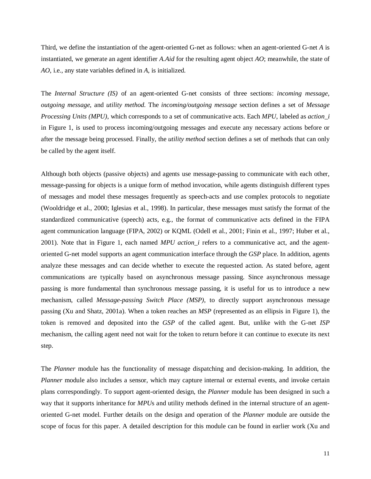Third, we define the instantiation of the agent-oriented G-net as follows: when an agent-oriented G-net *A* is instantiated, we generate an agent identifier *A.Aid* for the resulting agent object *AO*; meanwhile, the state of *AO*, i.e., any state variables defined in *A*, is initialized.

The *Internal Structure (IS)* of an agent-oriented G-net consists of three sections: *incoming message*, *outgoing message*, and *utility method*. The *incoming/outgoing message* section defines a set of *Message Processing Units (MPU)*, which corresponds to a set of communicative acts. Each *MPU*, labeled as *action\_i* in Figure 1, is used to process incoming/outgoing messages and execute any necessary actions before or after the message being processed. Finally, the *utility method* section defines a set of methods that can only be called by the agent itself.

Although both objects (passive objects) and agents use message-passing to communicate with each other, message-passing for objects is a unique form of method invocation, while agents distinguish different types of messages and model these messages frequently as speech-acts and use complex protocols to negotiate (Wooldridge et al., 2000; Iglesias et al., 1998). In particular, these messages must satisfy the format of the standardized communicative (speech) acts, e.g., the format of communicative acts defined in the FIPA agent communication language (FIPA, 2002) or KQML (Odell et al., 2001; Finin et al., 1997; Huber et al., 2001). Note that in Figure 1, each named *MPU action\_i* refers to a communicative act, and the agentoriented G-net model supports an agent communication interface through the *GSP* place. In addition, agents analyze these messages and can decide whether to execute the requested action. As stated before, agent communications are typically based on asynchronous message passing. Since asynchronous message passing is more fundamental than synchronous message passing, it is useful for us to introduce a new mechanism, called *Message-passing Switch Place (MSP)*, to directly support asynchronous message passing (Xu and Shatz, 2001a). When a token reaches an *MSP* (represented as an ellipsis in Figure 1), the token is removed and deposited into the *GSP* of the called agent. But, unlike with the G-net *ISP* mechanism, the calling agent need not wait for the token to return before it can continue to execute its next step.

The *Planner* module has the functionality of message dispatching and decision-making. In addition, the *Planner* module also includes a sensor, which may capture internal or external events, and invoke certain plans correspondingly. To support agent-oriented design, the *Planner* module has been designed in such a way that it supports inheritance for *MPU*s and utility methods defined in the internal structure of an agentoriented G-net model. Further details on the design and operation of the *Planner* module are outside the scope of focus for this paper. A detailed description for this module can be found in earlier work (Xu and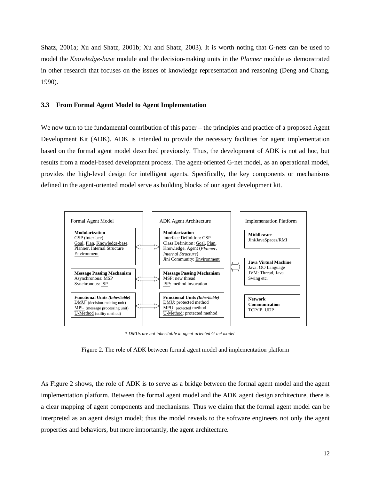Shatz, 2001a; Xu and Shatz, 2001b; Xu and Shatz, 2003). It is worth noting that G-nets can be used to model the *Knowledge-base* module and the decision-making units in the *Planner* module as demonstrated in other research that focuses on the issues of knowledge representation and reasoning (Deng and Chang, 1990).

## **3.3 From Formal Agent Model to Agent Implementation**

We now turn to the fundamental contribution of this paper – the principles and practice of a proposed Agent Development Kit (ADK). ADK is intended to provide the necessary facilities for agent implementation based on the formal agent model described previously. Thus, the development of ADK is not ad hoc, but results from a model-based development process. The agent-oriented G-net model, as an operational model, provides the high-level design for intelligent agents. Specifically, the key components or mechanisms defined in the agent-oriented model serve as building blocks of our agent development kit.



*\* DMUs are not inheritable in agent-oriented G-net model*

Figure 2. The role of ADK between formal agent model and implementation platform

As Figure 2 shows, the role of ADK is to serve as a bridge between the formal agent model and the agent implementation platform. Between the formal agent model and the ADK agent design architecture, there is a clear mapping of agent components and mechanisms. Thus we claim that the formal agent model can be interpreted as an agent design model; thus the model reveals to the software engineers not only the agent properties and behaviors, but more importantly, the agent architecture.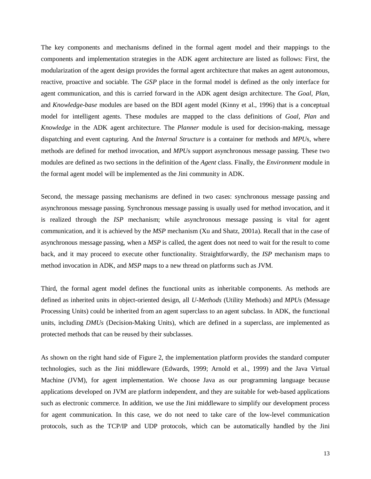The key components and mechanisms defined in the formal agent model and their mappings to the components and implementation strategies in the ADK agent architecture are listed as follows: First, the modularization of the agent design provides the formal agent architecture that makes an agent autonomous, reactive, proactive and sociable. The *GSP* place in the formal model is defined as the only interface for agent communication, and this is carried forward in the ADK agent design architecture. The *Goal*, *Plan*, and *Knowledge-base* modules are based on the BDI agent model (Kinny et al., 1996) that is a conceptual model for intelligent agents. These modules are mapped to the class definitions of *Goal*, *Plan* and *Knowledge* in the ADK agent architecture. The *Planner* module is used for decision-making, message dispatching and event capturing. And the *Internal Structure* is a container for methods and *MPU*s, where methods are defined for method invocation, and *MPU*s support asynchronous message passing. These two modules are defined as two sections in the definition of the *Agent* class. Finally, the *Environment* module in the formal agent model will be implemented as the Jini community in ADK.

Second, the message passing mechanisms are defined in two cases: synchronous message passing and asynchronous message passing. Synchronous message passing is usually used for method invocation, and it is realized through the *ISP* mechanism; while asynchronous message passing is vital for agent communication, and it is achieved by the *MSP* mechanism (Xu and Shatz, 2001a). Recall that in the case of asynchronous message passing, when a *MSP* is called, the agent does not need to wait for the result to come back, and it may proceed to execute other functionality. Straightforwardly, the *ISP* mechanism maps to method invocation in ADK, and *MSP* maps to a new thread on platforms such as JVM.

Third, the formal agent model defines the functional units as inheritable components. As methods are defined as inherited units in object-oriented design, all *U-Methods* (Utility Methods) and *MPU*s (Message Processing Units) could be inherited from an agent superclass to an agent subclass. In ADK, the functional units, including *DMUs* (Decision-Making Units), which are defined in a superclass, are implemented as protected methods that can be reused by their subclasses.

As shown on the right hand side of Figure 2, the implementation platform provides the standard computer technologies, such as the Jini middleware (Edwards, 1999; Arnold et al., 1999) and the Java Virtual Machine (JVM), for agent implementation. We choose Java as our programming language because applications developed on JVM are platform independent, and they are suitable for web-based applications such as electronic commerce. In addition, we use the Jini middleware to simplify our development process for agent communication. In this case, we do not need to take care of the low-level communication protocols, such as the TCP/IP and UDP protocols, which can be automatically handled by the Jini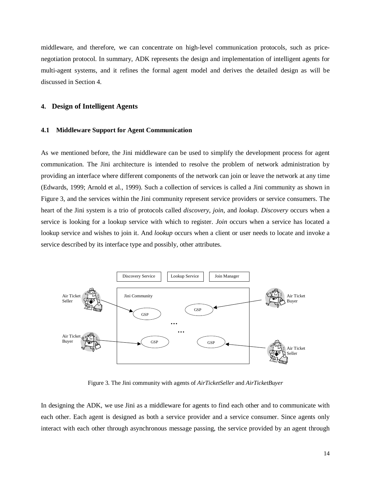middleware, and therefore, we can concentrate on high-level communication protocols, such as pricenegotiation protocol. In summary, ADK represents the design and implementation of intelligent agents for multi-agent systems, and it refines the formal agent model and derives the detailed design as will be discussed in Section 4.

# **4. Design of Intelligent Agents**

### **4.1 Middleware Support for Agent Communication**

As we mentioned before, the Jini middleware can be used to simplify the development process for agent communication. The Jini architecture is intended to resolve the problem of network administration by providing an interface where different components of the network can join or leave the network at any time (Edwards, 1999; Arnold et al., 1999). Such a collection of services is called a Jini community as shown in Figure 3, and the services within the Jini community represent service providers or service consumers. The heart of the Jini system is a trio of protocols called *discovery*, *join*, and *lookup*. *Discovery* occurs when a service is looking for a lookup service with which to register. *Join* occurs when a service has located a lookup service and wishes to join it. And *lookup* occurs when a client or user needs to locate and invoke a service described by its interface type and possibly, other attributes.



Figure 3. The Jini community with agents of *AirTicketSeller* and *AirTicketBuyer*

In designing the ADK, we use Jini as a middleware for agents to find each other and to communicate with each other. Each agent is designed as both a service provider and a service consumer. Since agents only interact with each other through asynchronous message passing, the service provided by an agent through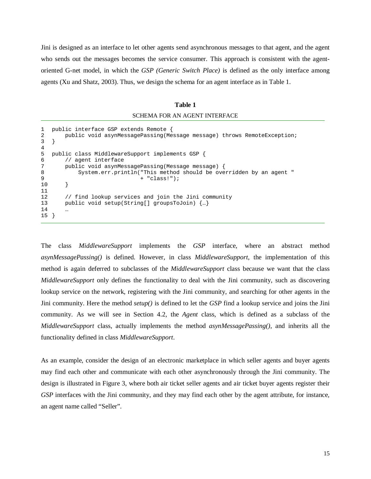Jini is designed as an interface to let other agents send asynchronous messages to that agent, and the agent who sends out the messages becomes the service consumer. This approach is consistent with the agentoriented G-net model, in which the *GSP (Generic Switch Place)* is defined as the only interface among agents (Xu and Shatz, 2003). Thus, we design the schema for an agent interface as in Table 1.

| Table 1                       |
|-------------------------------|
| SCHEMA FOR AN AGENT INTERFACE |

| $\mathbf{1}$<br>2<br>3<br>4 | public interface GSP extends Remote {<br>public void asynMessagePassing(Message message) throws RemoteException; |
|-----------------------------|------------------------------------------------------------------------------------------------------------------|
| 5                           | public class MiddlewareSupport implements GSP {                                                                  |
| 6                           | // agent interface                                                                                               |
| 7                           | public void asynMessagePassing(Message message) {                                                                |
| 8                           | System.err.println("This method should be overridden by an agent "                                               |
| 9                           | $+$ "class!");                                                                                                   |
| 10                          |                                                                                                                  |
| 11                          |                                                                                                                  |
| 12                          | // find lookup services and join the Jini community                                                              |
| 13                          | public void setup(String[] $qroupsTojoin$ {}                                                                     |
| 14                          | $\cdots$                                                                                                         |
| 15                          |                                                                                                                  |

The class *MiddlewareSupport* implements the *GSP* interface, where an abstract method *asynMessagePassing()* is defined. However, in class *MiddlewareSupport*, the implementation of this method is again deferred to subclasses of the *MiddlewareSupport* class because we want that the class *MiddlewareSupport* only defines the functionality to deal with the Jini community, such as discovering lookup service on the network, registering with the Jini community, and searching for other agents in the Jini community. Here the method *setup()* is defined to let the *GSP* find a lookup service and joins the Jini community. As we will see in Section 4.2, the *Agent* class, which is defined as a subclass of the *MiddlewareSupport* class, actually implements the method *asynMessagePassing()*, and inherits all the functionality defined in class *MiddlewareSupport*.

As an example, consider the design of an electronic marketplace in which seller agents and buyer agents may find each other and communicate with each other asynchronously through the Jini community. The design is illustrated in Figure 3, where both air ticket seller agents and air ticket buyer agents register their *GSP* interfaces with the Jini community, and they may find each other by the agent attribute, for instance, an agent name called "Seller".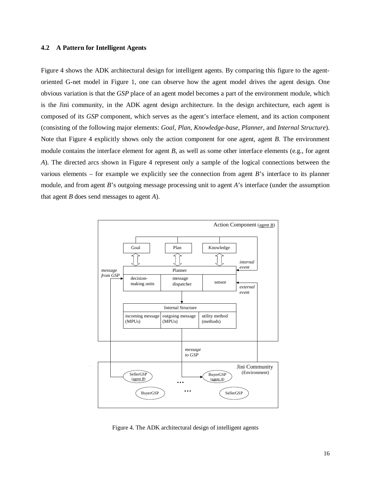## **4.2 A Pattern for Intelligent Agents**

Figure 4 shows the ADK architectural design for intelligent agents. By comparing this figure to the agentoriented G-net model in Figure 1, one can observe how the agent model drives the agent design. One obvious variation is that the *GSP* place of an agent model becomes a part of the environment module, which is the Jini community, in the ADK agent design architecture. In the design architecture, each agent is composed of its *GSP* component, which serves as the agent's interface element, and its action component (consisting of the following major elements: *Goal*, *Plan*, *Knowledge-base*, *Planner*, and *Internal Structure*). Note that Figure 4 explicitly shows only the action component for one agent, agent *B*. The environment module contains the interface element for agent *B*, as well as some other interface elements (e.g., for agent *A*). The directed arcs shown in Figure 4 represent only a sample of the logical connections between the various elements – for example we explicitly see the connection from agent *B*'s interface to its planner module, and from agent *B*'s outgoing message processing unit to agent *A*'s interface (under the assumption that agent *B* does send messages to agent *A*).



Figure 4. The ADK architectural design of intelligent agents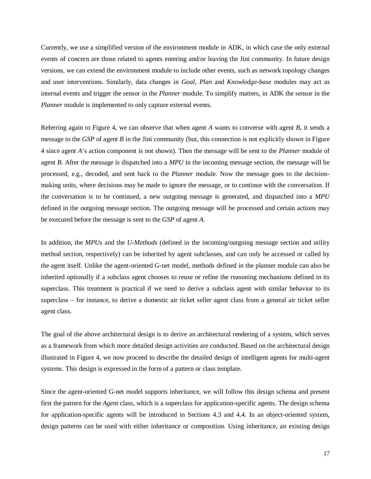Currently, we use a simplified version of the environment module in ADK, in which case the only external events of concern are those related to agents entering and/or leaving the Jini community. In future design versions, we can extend the environment module to include other events, such as network topology changes and user interventions. Similarly, data changes in *Goal*, *Plan* and *Knowledge-base* modules may act as internal events and trigger the sensor in the *Planner* module. To simplify matters, in ADK the sensor in the *Planner* module is implemented to only capture external events.

Referring again to Figure 4, we can observe that when agent *A* wants to converse with agent *B*, it sends a message to the *GSP* of agent *B* in the Jini community (but, this connection is not explicitly shown in Figure 4 since agent *A*'s action component is not shown). Then the message will be sent to the *Planner* module of agent *B*. After the message is dispatched into a *MPU* in the incoming message section, the message will be processed, e.g., decoded, and sent back to the *Planner* module. Now the message goes to the decisionmaking units, where decisions may be made to ignore the message, or to continue with the conversation. If the conversation is to be continued, a new outgoing message is generated, and dispatched into a *MPU* defined in the outgoing message section. The outgoing message will be processed and certain actions may be executed before the message is sent to the *GSP* of agent *A*.

In addition, the *MPU*s and the *U-Methods* (defined in the incoming/outgoing message section and utility method section, respectively) can be inherited by agent subclasses, and can only be accessed or called by the agent itself. Unlike the agent-oriented G-net model, methods defined in the planner module can also be inherited optionally if a subclass agent chooses to reuse or refine the reasoning mechanisms defined in its superclass. This treatment is practical if we need to derive a subclass agent with similar behavior to its superclass – for instance, to derive a domestic air ticket seller agent class from a general air ticket seller agent class.

The goal of the above architectural design is to derive an architectural rendering of a system, which serves as a framework from which more detailed design activities are conducted. Based on the architectural design illustrated in Figure 4, we now proceed to describe the detailed design of intelligent agents for multi-agent systems. This design is expressed in the form of a pattern or class template.

Since the agent-oriented G-net model supports inheritance, we will follow this design schema and present first the pattern for the *Agent* class, which is a superclass for application-specific agents. The design schema for application-specific agents will be introduced in Sections 4.3 and 4.4. In an object-oriented system, design patterns can be used with either inheritance or composition. Using inheritance, an existing design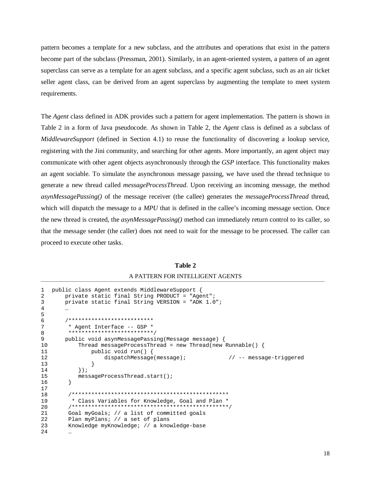pattern becomes a template for a new subclass, and the attributes and operations that exist in the pattern become part of the subclass (Pressman, 2001). Similarly, in an agent-oriented system, a pattern of an agent superclass can serve as a template for an agent subclass, and a specific agent subclass, such as an air ticket seller agent class, can be derived from an agent superclass by augmenting the template to meet system requirements.

The *Agent* class defined in ADK provides such a pattern for agent implementation. The pattern is shown in Table 2 in a form of Java pseudocode. As shown in Table 2, the *Agent* class is defined as a subclass of *MiddlewareSupport* (defined in Section 4.1) to reuse the functionality of discovering a lookup service, registering with the Jini community, and searching for other agents. More importantly, an agent object may communicate with other agent objects asynchronously through the *GSP* interface. This functionality makes an agent sociable. To simulate the asynchronous message passing, we have used the thread technique to generate a new thread called *messageProcessThread*. Upon receiving an incoming message, the method *asynMessagePassing()* of the message receiver (the callee) generates the *messageProcessThread* thread, which will dispatch the message to a *MPU* that is defined in the callee's incoming message section. Once the new thread is created, the *asynMessagePassing()* method can immediately return control to its caller, so that the message sender (the caller) does not need to wait for the message to be processed. The caller can proceed to execute other tasks.

```
1 public class Agent extends MiddlewareSupport {
2 private static final String PRODUCT = "Agent";<br>3 private static final String VERSION = "ADK 1.0
       private static final String VERSION = "ADK 1.0";
4 …
5
6 /**************************
7 * Agent Interface -- GSP *
8 **************************/
9 public void asynMessagePassing(Message message) {
           Thread messageProcessThread = new Thread(new Runnable() {
11 public void run() {
12 dispatchMessage(message); // -- message-triggered
13 }
14 });
15 messageProcessThread.start();<br>16 }
16 }
17
18 /************************************************
19 * Class Variables for Knowledge, Goal and Plan *
20 /************************************************/
21 Goal myGoals; // a list of committed goals
22 Plan myPlans; // a set of plans<br>23 Knowledge myKnowledge; // a know
        Knowledge myKnowledge; // a knowledge-base
24 …
```

| Table 2                          |
|----------------------------------|
| A PATTERN FOR INTELLIGENT AGENTS |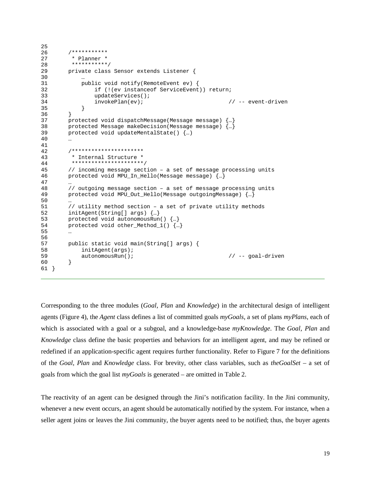```
25
26 /***********
27 * Planner *
28 ***********/
29 private class Sensor extends Listener {
30 …
31 public void notify(RemoteEvent ev) {
32 if (!(ev instanceof ServiceEvent)) return;<br>33 updateServices();
                 updateServices();
34 invokePlan(ev); // -- event-driven
35<br>36 }
36 }
37 protected void dispatchMessage(Message message) {…}
38 protected Message makeDecision(Message message) {…}
39 protected void updateMentalState() {…)
40 …
41
42 /**********************
43 * Internal Structure *
44 **********************/<br>45 // incoming message sect.
45 // incoming message section - a set of message processing units<br>46 	 protected void MPU In Hello (Message message) \{...\}protected void MPU_In_Hello(Message message) {...}
47 …
48 // outgoing message section – a set of message processing units
49 protected void MPU_Out_Hello(Message outgoingMessage) {…}
50 …
51 // utility method section - a set of private utility methods<br>52 initAgent(String[] args) \{...\}52 initAgent(String[] args) {...}<br>53 protected void autonomousRun
        protected void autonomousRun() {...}54 protected void other_Method_1() {…}
55 …
56
57 public static void main(String[] args) {
58 initAgent(args);<br>59 autonomousRun();
        59 autonomousRun(); // -- goal-driven
60 }
61 }
```
Corresponding to the three modules (*Goal*, *Plan* and *Knowledge*) in the architectural design of intelligent agents (Figure 4), the *Agent* class defines a list of committed goals *myGoals*, a set of plans *myPlans*, each of which is associated with a goal or a subgoal, and a knowledge-base *myKnowledge*. The *Goal*, *Plan* and *Knowledge* class define the basic properties and behaviors for an intelligent agent, and may be refined or redefined if an application-specific agent requires further functionality. Refer to Figure 7 for the definitions of the *Goal*, *Plan* and *Knowledge* class. For brevity, other class variables, such as *theGoalSet* – a set of goals from which the goal list *myGoals* is generated – are omitted in Table 2.

The reactivity of an agent can be designed through the Jini's notification facility. In the Jini community, whenever a new event occurs, an agent should be automatically notified by the system. For instance, when a seller agent joins or leaves the Jini community, the buyer agents need to be notified; thus, the buyer agents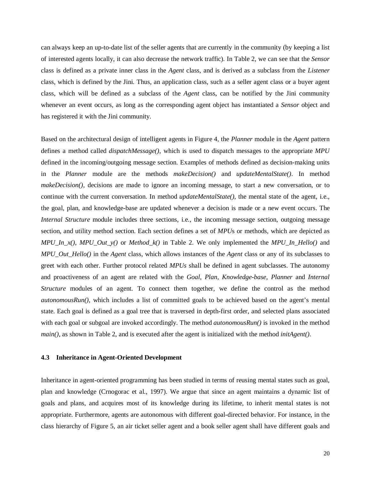can always keep an up-to-date list of the seller agents that are currently in the community (by keeping a list of interested agents locally, it can also decrease the network traffic). In Table 2, we can see that the *Sensor* class is defined as a private inner class in the *Agent* class, and is derived as a subclass from the *Listener* class, which is defined by the Jini. Thus, an application class, such as a seller agent class or a buyer agent class, which will be defined as a subclass of the *Agent* class, can be notified by the Jini community whenever an event occurs, as long as the corresponding agent object has instantiated a *Sensor* object and has registered it with the Jini community.

Based on the architectural design of intelligent agents in Figure 4, the *Planner* module in the *Agent* pattern defines a method called *dispatchMessage()*, which is used to dispatch messages to the appropriate *MPU* defined in the incoming/outgoing message section. Examples of methods defined as decision-making units in the *Planner* module are the methods *makeDecision()* and *updateMentalState()*. In method *makeDecision()*, decisions are made to ignore an incoming message, to start a new conversation, or to continue with the current conversation. In method *updateMentalState()*, the mental state of the agent, i.e., the goal, plan, and knowledge-base are updated whenever a decision is made or a new event occurs. The *Internal Structure* module includes three sections, i.e., the incoming message section, outgoing message section, and utility method section. Each section defines a set of *MPU*s or methods, which are depicted as *MPU\_In\_x()*, *MPU\_Out\_y()* or *Method\_k()* in Table 2. We only implemented the *MPU\_In\_Hello()* and *MPU\_Out\_Hello()* in the *Agent* class, which allows instances of the *Agent* class or any of its subclasses to greet with each other. Further protocol related *MPUs* shall be defined in agent subclasses. The autonomy and proactiveness of an agent are related with the *Goal*, *Plan*, *Knowledge-base*, *Planner* and *Internal Structure* modules of an agent. To connect them together, we define the control as the method *autonomousRun()*, which includes a list of committed goals to be achieved based on the agent's mental state. Each goal is defined as a goal tree that is traversed in depth-first order, and selected plans associated with each goal or subgoal are invoked accordingly. The method *autonomousRun()* is invoked in the method *main()*, as shown in Table 2, and is executed after the agent is initialized with the method *initAgent()*.

## **4.3 Inheritance in Agent-Oriented Development**

Inheritance in agent-oriented programming has been studied in terms of reusing mental states such as goal, plan and knowledge (Crnogorac et al., 1997). We argue that since an agent maintains a dynamic list of goals and plans, and acquires most of its knowledge during its lifetime, to inherit mental states is not appropriate. Furthermore, agents are autonomous with different goal-directed behavior. For instance, in the class hierarchy of Figure 5, an air ticket seller agent and a book seller agent shall have different goals and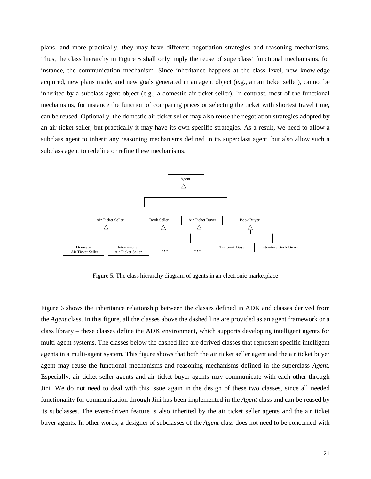plans, and more practically, they may have different negotiation strategies and reasoning mechanisms. Thus, the class hierarchy in Figure 5 shall only imply the reuse of superclass' functional mechanisms, for instance, the communication mechanism. Since inheritance happens at the class level, new knowledge acquired, new plans made, and new goals generated in an agent object (e.g., an air ticket seller), cannot be inherited by a subclass agent object (e.g., a domestic air ticket seller). In contrast, most of the functional mechanisms, for instance the function of comparing prices or selecting the ticket with shortest travel time, can be reused. Optionally, the domestic air ticket seller may also reuse the negotiation strategies adopted by an air ticket seller, but practically it may have its own specific strategies. As a result, we need to allow a subclass agent to inherit any reasoning mechanisms defined in its superclass agent, but also allow such a subclass agent to redefine or refine these mechanisms.



Figure 5. The class hierarchy diagram of agents in an electronic marketplace

Figure 6 shows the inheritance relationship between the classes defined in ADK and classes derived from the *Agent* class. In this figure, all the classes above the dashed line are provided as an agent framework or a class library – these classes define the ADK environment, which supports developing intelligent agents for multi-agent systems. The classes below the dashed line are derived classes that represent specific intelligent agents in a multi-agent system. This figure shows that both the air ticket seller agent and the air ticket buyer agent may reuse the functional mechanisms and reasoning mechanisms defined in the superclass *Agent*. Especially, air ticket seller agents and air ticket buyer agents may communicate with each other through Jini. We do not need to deal with this issue again in the design of these two classes, since all needed functionality for communication through Jini has been implemented in the *Agent* class and can be reused by its subclasses. The event-driven feature is also inherited by the air ticket seller agents and the air ticket buyer agents. In other words, a designer of subclasses of the *Agent* class does not need to be concerned with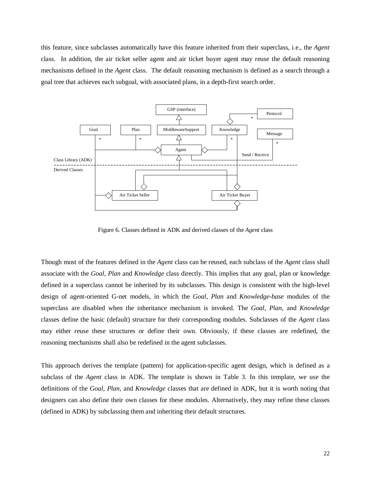this feature, since subclasses automatically have this feature inherited from their superclass, i.e., the *Agent* class. In addition, the air ticket seller agent and air ticket buyer agent may reuse the default reasoning mechanisms defined in the *Agent* class. The default reasoning mechanism is defined as a search through a goal tree that achieves each subgoal, with associated plans, in a depth-first search order.



Figure 6. Classes defined in ADK and derived classes of the *Agent* class

Though most of the features defined in the *Agent* class can be reused, each subclass of the *Agent* class shall associate with the *Goal*, *Plan* and *Knowledge* class directly. This implies that any goal, plan or knowledge defined in a superclass cannot be inherited by its subclasses. This design is consistent with the high-level design of agent-oriented G-net models, in which the *Goal*, *Plan* and *Knowledge-base* modules of the superclass are disabled when the inheritance mechanism is invoked. The *Goal*, *Plan*, and *Knowledge* classes define the basic (default) structure for their corresponding modules. Subclasses of the *Agent* class may either reuse these structures or define their own. Obviously, if these classes are redefined, the reasoning mechanisms shall also be redefined in the agent subclasses.

This approach derives the template (pattern) for application-specific agent design, which is defined as a subclass of the *Agent* class in ADK. The template is shown in Table 3. In this template, we use the definitions of the *Goal*, *Plan*, and *Knowledge* classes that are defined in ADK, but it is worth noting that designers can also define their own classes for these modules. Alternatively, they may refine these classes (defined in ADK) by subclassing them and inheriting their default structures.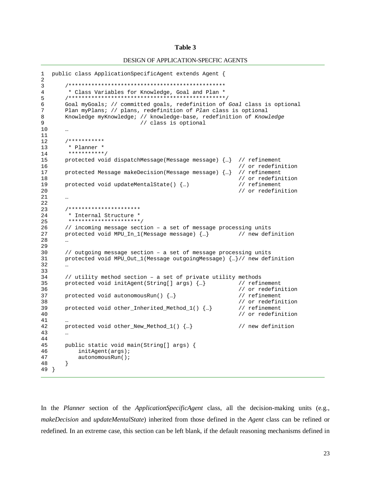| able |  |
|------|--|
|------|--|

```
DESIGN OF APPLICATION-SPECFIC AGENTS
```

```
1 public class ApplicationSpecificAgent extends Agent {
2
3 /************************************************
4 * Class Variables for Knowledge, Goal and Plan *
5 /************************************************/
6 Goal myGoals; // committed goals, redefinition of Goal class is optional
7 Plan myPlans; // plans, redefinition of Plan class is optional
8 Knowledge myKnowledge; // knowledge-base, redefinition of Knowledge
9 // class is optional
10 …
11
12 /***********
13 * Planner *
14 ***********/<br>15 protected voi
       15 protected void dispatchMessage(Message message) {…} // refinement
16 // or redefinition<br>17 protected Message makeDecision(Message message) {...} // refinement
       protected Message makeDecision(Message message) {m \brace m}18 18 \sqrt{2} // or redefinition
19 protected void updateMentalState() {…) // refinement
20 // or redefinition
2.122
23 /**********************
24 * Internal Structure *
25 **********************/
26 // incoming message section – a set of message processing units
27 protected void MPU_In_1(Message message) {…} // new definition
28 …
\frac{29}{30}30 // outgoing message section - a set of message processing units<br>31 protected void MPU Out 1(Message outgoingMessage) \{m\}// new def.
       protected void MPU Out 1(Message outgoingMessage) \{m\}/\ell new definition
32 …
33
34 // utility method section – a set of private utility methods
35 protected void initAgent(String[] args) \{...\} // refinement<br>36 // or redefin
                                                           36 // or redefinition
37 protected void autonomousRun() {…} // refinement
38 // or redefinition
39 protected void other_Inherited_Method_1() {…} // refinement
40 and 10 and 10 and 10 and 10 and 10 and 10 and 10 and 10 and 10 and 10 and 10 and 10 and 10 and 10 and 10 and 10 and 10 and 10 and 10 and 10 and 10 and 10 and 10 and 10 and 10 and 10 and 10 and 10 and 10 and 10 and 10 an
41 …
42 protected void other_New_Method_1() {...} // new definition
43 …
44
45 public static void main(String[] args) {
46 initAgent(args);
47 autonomousRun();<br>48 }
48 }
49 }
```
In the *Planner* section of the *ApplicationSpecificAgent* class, all the decision-making units (e.g., *makeDecision* and *updateMentalState*) inherited from those defined in the *Agent* class can be refined or redefined. In an extreme case, this section can be left blank, if the default reasoning mechanisms defined in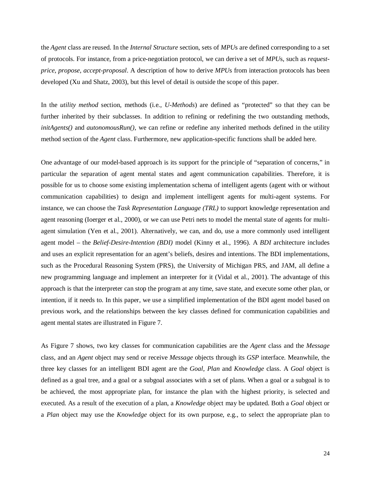the *Agent* class are reused. In the *Internal Structure* section, sets of *MPU*s are defined corresponding to a set of protocols. For instance, from a price-negotiation protocol, we can derive a set of *MPU*s, such as *requestprice*, *propose*, *accept-proposal*. A description of how to derive *MPU*s from interaction protocols has been developed (Xu and Shatz, 2003), but this level of detail is outside the scope of this paper.

In the *utility method* section, methods (i.e., *U-Methods*) are defined as "protected" so that they can be further inherited by their subclasses. In addition to refining or redefining the two outstanding methods, *initAgents()* and *autonomousRun()*, we can refine or redefine any inherited methods defined in the utility method section of the *Agent* class. Furthermore, new application-specific functions shall be added here.

One advantage of our model-based approach is its support for the principle of "separation of concerns," in particular the separation of agent mental states and agent communication capabilities. Therefore, it is possible for us to choose some existing implementation schema of intelligent agents (agent with or without communication capabilities) to design and implement intelligent agents for multi-agent systems. For instance, we can choose the *Task Representation Language (TRL)* to support knowledge representation and agent reasoning (Ioerger et al., 2000), or we can use Petri nets to model the mental state of agents for multiagent simulation (Yen et al., 2001). Alternatively, we can, and do, use a more commonly used intelligent agent model – the *Belief-Desire-Intention (BDI)* model (Kinny et al., 1996). A *BDI* architecture includes and uses an explicit representation for an agent's beliefs, desires and intentions. The BDI implementations, such as the Procedural Reasoning System (PRS), the University of Michigan PRS, and JAM, all define a new programming language and implement an interpreter for it (Vidal et al., 2001). The advantage of this approach is that the interpreter can stop the program at any time, save state, and execute some other plan, or intention, if it needs to. In this paper, we use a simplified implementation of the BDI agent model based on previous work, and the relationships between the key classes defined for communication capabilities and agent mental states are illustrated in Figure 7.

As Figure 7 shows, two key classes for communication capabilities are the *Agent* class and the *Message* class, and an *Agent* object may send or receive *Message* objects through its *GSP* interface. Meanwhile, the three key classes for an intelligent BDI agent are the *Goal*, *Plan* and *Knowledge* class. A *Goal* object is defined as a goal tree, and a goal or a subgoal associates with a set of plans. When a goal or a subgoal is to be achieved, the most appropriate plan, for instance the plan with the highest priority, is selected and executed. As a result of the execution of a plan, a *Knowledge* object may be updated. Both a *Goal* object or a *Plan* object may use the *Knowledge* object for its own purpose, e.g., to select the appropriate plan to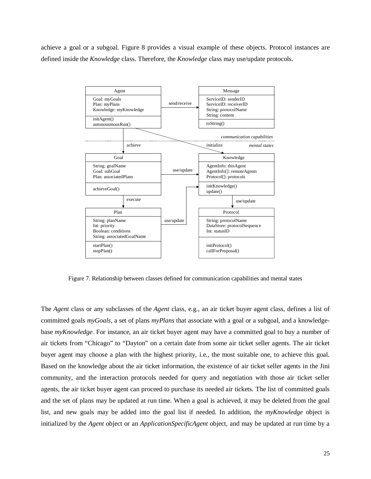achieve a goal or a subgoal. Figure 8 provides a visual example of these objects. Protocol instances are defined inside the *Knowledge* class. Therefore, the *Knowledge* class may use/update protocols.



Figure 7. Relationship between classes defined for communication capabilities and mental states

The *Agent* class or any subclasses of the *Agent* class, e.g., an air ticket buyer agent class, defines a list of committed goals *myGoals*, a set of plans *myPlans* that associate with a goal or a subgoal, and a knowledgebase *myKnowledge*. For instance, an air ticket buyer agent may have a committed goal to buy a number of air tickets from "Chicago" to "Dayton" on a certain date from some air ticket seller agents. The air ticket buyer agent may choose a plan with the highest priority, i.e., the most suitable one, to achieve this goal. Based on the knowledge about the air ticket information, the existence of air ticket seller agents in the Jini community, and the interaction protocols needed for query and negotiation with those air ticket seller agents, the air ticket buyer agent can proceed to purchase its needed air tickets. The list of committed goals and the set of plans may be updated at run time. When a goal is achieved, it may be deleted from the goal list, and new goals may be added into the goal list if needed. In addition, the *myKnowledge* object is initialized by the *Agent* object or an *ApplicationSpecificAgent* object, and may be updated at run time by a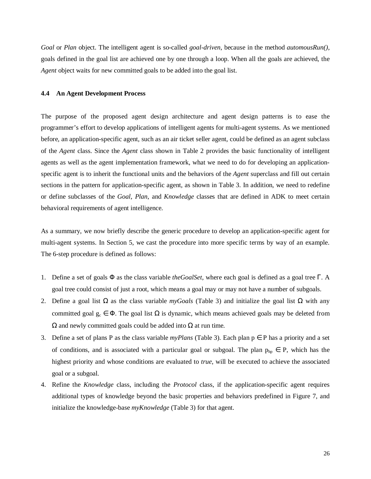*Goal* or *Plan* object. The intelligent agent is so-called *goal-driven*, because in the method *automousRun()*, goals defined in the goal list are achieved one by one through a loop. When all the goals are achieved, the *Agent* object waits for new committed goals to be added into the goal list.

# **4.4 An Agent Development Process**

The purpose of the proposed agent design architecture and agent design patterns is to ease the programmer's effort to develop applications of intelligent agents for multi-agent systems. As we mentioned before, an application-specific agent, such as an air ticket seller agent, could be defined as an agent subclass of the *Agent* class. Since the *Agent* class shown in Table 2 provides the basic functionality of intelligent agents as well as the agent implementation framework, what we need to do for developing an applicationspecific agent is to inherit the functional units and the behaviors of the *Agent* superclass and fill out certain sections in the pattern for application-specific agent, as shown in Table 3. In addition, we need to redefine or define subclasses of the *Goal*, *Plan*, and *Knowledge* classes that are defined in ADK to meet certain behavioral requirements of agent intelligence.

As a summary, we now briefly describe the generic procedure to develop an application-specific agent for multi-agent systems. In Section 5, we cast the procedure into more specific terms by way of an example. The 6-step procedure is defined as follows:

- 1. Define a set of goals Φ as the class variable *theGoalSet*, where each goal is defined as a goal tree Γ. A goal tree could consist of just a root, which means a goal may or may not have a number of subgoals.
- 2. Define a goal list  $\Omega$  as the class variable *myGoals* (Table 3) and initialize the goal list  $\Omega$  with any committed goal  $g_c \in \Phi$ . The goal list  $\Omega$  is dynamic, which means achieved goals may be deleted from Ω and newly committed goals could be added into Ω at run time.
- 3. Define a set of plans P as the class variable  $myPlans$  (Table 3). Each plan  $p \in P$  has a priority and a set of conditions, and is associated with a particular goal or subgoal. The plan  $p_{hp} \in P$ , which has the highest priority and whose conditions are evaluated to *true*, will be executed to achieve the associated goal or a subgoal.
- 4. Refine the *Knowledge* class, including the *Protocol* class, if the application-specific agent requires additional types of knowledge beyond the basic properties and behaviors predefined in Figure 7, and initialize the knowledge-base *myKnowledge* (Table 3) for that agent.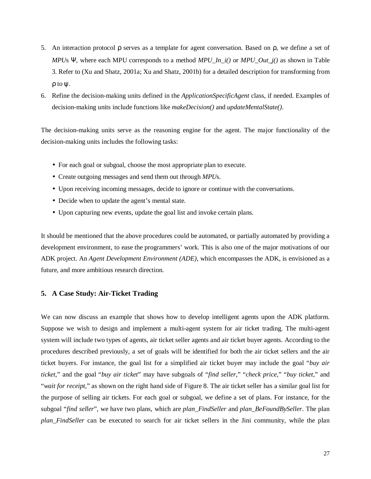- 5. An interaction protocol ρ serves as a template for agent conversation. Based on ρ, we define a set of *MPU*s Ψ, where each MPU corresponds to a method *MPU\_In\_i()* or *MPU\_Out\_j()* as shown in Table 3. Refer to (Xu and Shatz, 2001a; Xu and Shatz, 2001b) for a detailed description for transforming from ρ to ψ.
- 6. Refine the decision-making units defined in the *ApplicationSpecificAgent* class, if needed. Examples of decision-making units include functions like *makeDecision()* and *updateMentalState()*.

The decision-making units serve as the reasoning engine for the agent. The major functionality of the decision-making units includes the following tasks:

- For each goal or subgoal, choose the most appropriate plan to execute.
- Create outgoing messages and send them out through *MPU*s.
- Upon receiving incoming messages, decide to ignore or continue with the conversations.
- Decide when to update the agent's mental state.
- Upon capturing new events, update the goal list and invoke certain plans.

It should be mentioned that the above procedures could be automated, or partially automated by providing a development environment, to ease the programmers' work. This is also one of the major motivations of our ADK project. An *Agent Development Environment (ADE)*, which encompasses the ADK, is envisioned as a future, and more ambitious research direction.

# **5. A Case Study: Air-Ticket Trading**

We can now discuss an example that shows how to develop intelligent agents upon the ADK platform. Suppose we wish to design and implement a multi-agent system for air ticket trading. The multi-agent system will include two types of agents, air ticket seller agents and air ticket buyer agents. According to the procedures described previously, a set of goals will be identified for both the air ticket sellers and the air ticket buyers. For instance, the goal list for a simplified air ticket buyer may include the goal "*buy air ticket*," and the goal "*buy air ticket*" may have subgoals of "*find seller*," "*check price*," "*buy ticket*," and "*wait for receipt*," as shown on the right hand side of Figure 8. The air ticket seller has a similar goal list for the purpose of selling air tickets. For each goal or subgoal, we define a set of plans. For instance, for the subgoal "*find seller*", we have two plans, which are *plan\_FindSeller* and *plan\_BeFoundBySeller*. The plan *plan\_FindSeller* can be executed to search for air ticket sellers in the Jini community, while the plan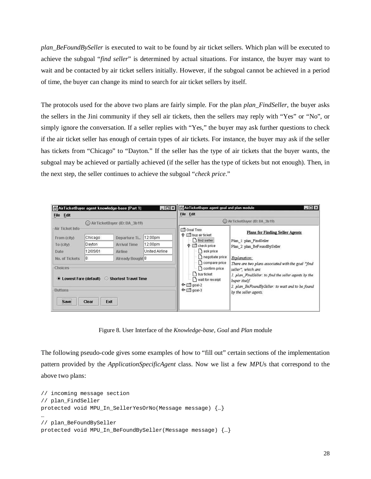*plan\_BeFoundBySeller* is executed to wait to be found by air ticket sellers. Which plan will be executed to achieve the subgoal "*find seller*" is determined by actual situations. For instance, the buyer may want to wait and be contacted by air ticket sellers initially. However, if the subgoal cannot be achieved in a period of time, the buyer can change its mind to search for air ticket sellers by itself.

The protocols used for the above two plans are fairly simple. For the plan *plan\_FindSeller*, the buyer asks the sellers in the Jini community if they sell air tickets, then the sellers may reply with "Yes" or "No", or simply ignore the conversation. If a seller replies with "Yes," the buyer may ask further questions to check if the air ticket seller has enough of certain types of air tickets. For instance, the buyer may ask if the seller has tickets from "Chicago" to "Dayton." If the seller has the type of air tickets that the buyer wants, the subgoal may be achieved or partially achieved (if the seller has the type of tickets but not enough). Then, in the next step, the seller continues to achieve the subgoal "*check price*."

| File Edit<br>C AirTicketBuyer (ID: BA 3b19)                                                                                                                                                                                |  |                                                                                                                                   |                                                                                                                                                                         | C AirTicketBuyer (ID: BA 3b19)                                                                        |                                                                                                                                                                           |  |
|----------------------------------------------------------------------------------------------------------------------------------------------------------------------------------------------------------------------------|--|-----------------------------------------------------------------------------------------------------------------------------------|-------------------------------------------------------------------------------------------------------------------------------------------------------------------------|-------------------------------------------------------------------------------------------------------|---------------------------------------------------------------------------------------------------------------------------------------------------------------------------|--|
| Air Ticket Info<br>12:00pm<br>Chicago<br>Departure Ti<br>From (city)<br>12:00pm<br>Dayton<br><b>Arrival Time</b><br>To (city)<br>United Airline<br>12/05/01<br>Date<br>Airline<br>18<br>No. of Tickets<br>Already Bought 8 |  | Goal Tree<br>$\circ$ buy air ticket<br>find seller<br>$\circ$ $\Box$ check price<br>ask price<br>negotiate price<br>compare price | <b>Plans for Finding Seller Agents</b><br>Plan 1: plan FindSeller<br>Plan 2: plan BeFoundBySeller<br>Explanation:<br>There are two plans associated with the goal "find |                                                                                                       |                                                                                                                                                                           |  |
| <b>Choices</b><br><b>Buttons</b>                                                                                                                                                                                           |  | C Lowest Fare (default) Shortest Travel Time                                                                                      |                                                                                                                                                                         | confirm price<br>I buy ticket<br>Wait for receipt<br>$\bullet$ $\Box$ goal-2<br>$\odot$ $\Box$ goal-3 | seller", which are:<br>1. plan FindSeller: to find the seller agents by the<br>buyer itself.<br>2. plan BeFoundBySeller: to wait and to be found<br>by the seller agents. |  |

Figure 8. User Interface of the *Knowledge-base*, *Goal* and *Plan* module

The following pseudo-code gives some examples of how to "fill out" certain sections of the implementation pattern provided by the *ApplicationSpecificAgent* class. Now we list a few *MPU*s that correspond to the above two plans:

```
// incoming message section
// plan_FindSeller
protected void MPU_In_SellerYesOrNo(Message message) {…}
…
// plan_BeFoundBySeller
protected void MPU In BeFoundBySeller(Message message) {…}
```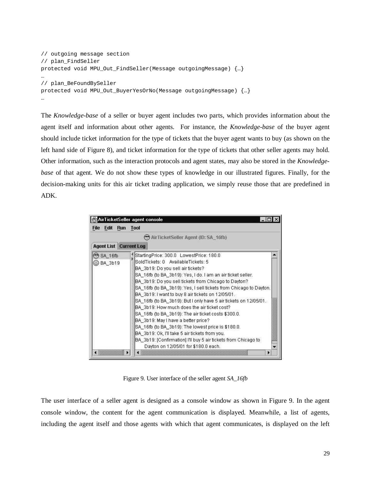```
// outgoing message section
// plan_FindSeller
protected void MPU Out FindSeller(Message outgoingMessage) {…}
…
// plan_BeFoundBySeller
protected void MPU_Out_BuyerYesOrNo(Message outgoingMessage) {…}
…
```
The *Knowledge-base* of a seller or buyer agent includes two parts, which provides information about the agent itself and information about other agents. For instance, the *Knowledge-base* of the buyer agent should include ticket information for the type of tickets that the buyer agent wants to buy (as shown on the left hand side of Figure 8), and ticket information for the type of tickets that other seller agents may hold. Other information, such as the interaction protocols and agent states, may also be stored in the *Knowledgebase* of that agent. We do not show these types of knowledge in our illustrated figures. Finally, for the decision-making units for this air ticket trading application, we simply reuse those that are predefined in ADK.

|                                 | AirTicketSeller agent console                                                                                                                                                                                                                                                                                                                                                                                                                                                                                                                 |
|---------------------------------|-----------------------------------------------------------------------------------------------------------------------------------------------------------------------------------------------------------------------------------------------------------------------------------------------------------------------------------------------------------------------------------------------------------------------------------------------------------------------------------------------------------------------------------------------|
| Edit Run<br><b>File</b>         | Tool                                                                                                                                                                                                                                                                                                                                                                                                                                                                                                                                          |
|                                 | AirTicketSeller Agent (ID: SA 16fb)                                                                                                                                                                                                                                                                                                                                                                                                                                                                                                           |
| <b>Agent List   Current Log</b> |                                                                                                                                                                                                                                                                                                                                                                                                                                                                                                                                               |
| SA_16fb<br>ා BA 3b19            | StartingPrice: 300.0 LowestPrice: 180.0<br>SoldTickets: 0 AvailableTickets: 5<br>BA 3b19: Do you sell air tickets?<br>SA 16fb (to BA 3b19): Yes, I do. I am an air ticket seller.<br>BA 3b19: Do you sell tickets from Chicago to Dayton?<br>SA 16fb (to BA 3b19): Yes, I sell tickets from Chicago to Dayton.<br>BA 3b19: I want to buy 8 air tickets on 12/05/01.<br>SA_16fb (to BA_3b19): But I only have 5 air tickets on 12/05/01.<br>BA 3b19: How much does the air ticket cost?<br>SA 16fb (to BA 3b19): The air ticket costs \$300.0. |
|                                 | BA 3b19: May I have a better price?<br>SA 16fb (to BA 3b19): The lowest price is \$180.0.<br>BA 3b19: Ok, I'll take 5 air tickets from you.<br>BA 3b19: [Confirmation] I'll buy 5 air tickets from Chicago to<br>Dayton on 12/05/01 for \$180.0 each.                                                                                                                                                                                                                                                                                         |

Figure 9. User interface of the seller agent *SA\_16fb*

The user interface of a seller agent is designed as a console window as shown in Figure 9. In the agent console window, the content for the agent communication is displayed. Meanwhile, a list of agents, including the agent itself and those agents with which that agent communicates, is displayed on the left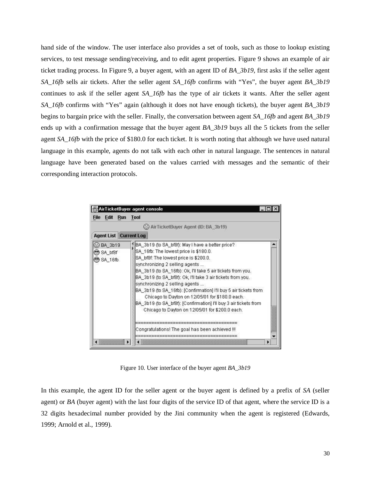hand side of the window. The user interface also provides a set of tools, such as those to lookup existing services, to test message sending/receiving, and to edit agent properties. Figure 9 shows an example of air ticket trading process. In Figure 9, a buyer agent, with an agent ID of *BA\_3b19*, first asks if the seller agent *SA\_16fb* sells air tickets. After the seller agent *SA\_16fb* confirms with "Yes", the buyer agent *BA\_3b19* continues to ask if the seller agent *SA\_16fb* has the type of air tickets it wants. After the seller agent *SA\_16fb* confirms with "Yes" again (although it does not have enough tickets), the buyer agent *BA\_3b19* begins to bargain price with the seller. Finally, the conversation between agent *SA\_16fb* and agent *BA\_3b19* ends up with a confirmation message that the buyer agent *BA\_3b19* buys all the 5 tickets from the seller agent *SA\_16fb* with the price of \$180.0 for each ticket. It is worth noting that although we have used natural language in this example, agents do not talk with each other in natural language. The sentences in natural language have been generated based on the values carried with messages and the semantic of their corresponding interaction protocols.

|                                      | AirTicketBuyer agent console                                                                                                                                                                                                                                                                                                                                                                                                                                                                                                                                                                                                            |
|--------------------------------------|-----------------------------------------------------------------------------------------------------------------------------------------------------------------------------------------------------------------------------------------------------------------------------------------------------------------------------------------------------------------------------------------------------------------------------------------------------------------------------------------------------------------------------------------------------------------------------------------------------------------------------------------|
| Edit Run Tool<br><b>File</b>         |                                                                                                                                                                                                                                                                                                                                                                                                                                                                                                                                                                                                                                         |
|                                      | C AirTicketBuyer Agent (ID: BA_3b19)                                                                                                                                                                                                                                                                                                                                                                                                                                                                                                                                                                                                    |
| <b>Agent List   Current Log</b>      |                                                                                                                                                                                                                                                                                                                                                                                                                                                                                                                                                                                                                                         |
| <b>BA 3b19</b><br>SA bf8f<br>SA 16fb | BA 3b19 (to SA bf8f): May I have a better price?<br>SA 16fb: The lowest price is \$180.0.<br>SA bf8f. The lowest price is \$200.0.<br>synchronizing 2 selling agents<br> BA_3b19 (to SA_16fb): Ok, I'll take 5 air tickets from you.<br>BA 3b19 (to SA bf8f): Ok, I'll take 3 air tickets from you.<br>synchronizing 2 selling agents<br>BA_3b19 (to SA_16fb): [Confirmation] I'll buy 5 air tickets from<br>Chicago to Dayton on 12/05/01 for \$180.0 each.<br>(BA_3b19 (to SA_bf8f): [Confirmation] I'll buy 3 air tickets from<br>Chicago to Dayton on 12/05/01 for \$200.0 each.<br>Congratulations! The goal has been achieved !!! |

Figure 10. User interface of the buyer agent *BA\_3b19*

In this example, the agent ID for the seller agent or the buyer agent is defined by a prefix of *SA* (seller agent) or *BA* (buyer agent) with the last four digits of the service ID of that agent, where the service ID is a 32 digits hexadecimal number provided by the Jini community when the agent is registered (Edwards, 1999; Arnold et al., 1999).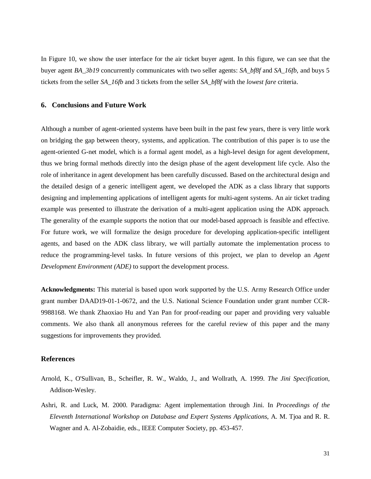In Figure 10, we show the user interface for the air ticket buyer agent. In this figure, we can see that the buyer agent *BA\_3b19* concurrently communicates with two seller agents: *SA\_bf8f* and *SA\_16fb*, and buys 5 tickets from the seller *SA\_16fb* and 3 tickets from the seller *SA\_bf8f* with the *lowest fare* criteria.

## **6. Conclusions and Future Work**

Although a number of agent-oriented systems have been built in the past few years, there is very little work on bridging the gap between theory, systems, and application. The contribution of this paper is to use the agent-oriented G-net model, which is a formal agent model, as a high-level design for agent development, thus we bring formal methods directly into the design phase of the agent development life cycle. Also the role of inheritance in agent development has been carefully discussed. Based on the architectural design and the detailed design of a generic intelligent agent, we developed the ADK as a class library that supports designing and implementing applications of intelligent agents for multi-agent systems. An air ticket trading example was presented to illustrate the derivation of a multi-agent application using the ADK approach. The generality of the example supports the notion that our model-based approach is feasible and effective. For future work, we will formalize the design procedure for developing application-specific intelligent agents, and based on the ADK class library, we will partially automate the implementation process to reduce the programming-level tasks. In future versions of this project, we plan to develop an *Agent Development Environment (ADE)* to support the development process.

**Acknowledgments:** This material is based upon work supported by the U.S. Army Research Office under grant number DAAD19-01-1-0672, and the U.S. National Science Foundation under grant number CCR-9988168. We thank Zhaoxiao Hu and Yan Pan for proof-reading our paper and providing very valuable comments. We also thank all anonymous referees for the careful review of this paper and the many suggestions for improvements they provided.

# **References**

- Arnold, K., O'Sullivan, B., Scheifler, R. W., Waldo, J., and Wollrath, A. 1999. *The Jini Specification*, Addison-Wesley.
- Ashri, R. and Luck, M. 2000. Paradigma: Agent implementation through Jini. In *Proceedings of the Eleventh International Workshop on Database and Expert Systems Applications*, A. M. Tjoa and R. R. Wagner and A. Al-Zobaidie, eds., IEEE Computer Society, pp. 453-457.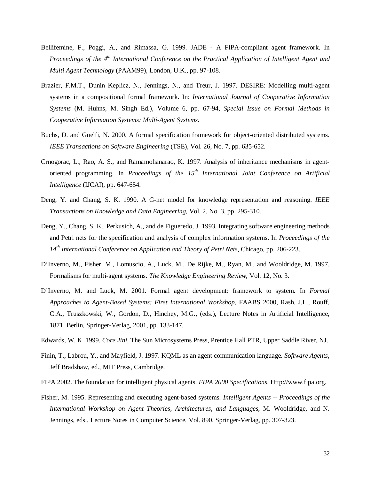- Bellifemine, F., Poggi, A., and Rimassa, G. 1999. JADE A FIPA-compliant agent framework. In *Proceedings of the 4 th International Conference on the Practical Application of Intelligent Agent and Multi Agent Technology* (PAAM99), London, U.K., pp. 97-108.
- Brazier, F.M.T., Dunin Keplicz, N., Jennings, N., and Treur, J. 1997. DESIRE: Modelling multi-agent systems in a compositional formal framework. In: *International Journal of Cooperative Information Systems* (M. Huhns, M. Singh Ed.), Volume 6, pp. 67-94, *Special Issue on Formal Methods in Cooperative Information Systems: Multi-Agent Systems*.
- Buchs, D. and Guelfi, N. 2000. A formal specification framework for object-oriented distributed systems. *IEEE Transactions on Software Engineering* (TSE), Vol. 26, No. 7, pp. 635-652.
- Crnogorac, L., Rao, A. S., and Ramamohanarao, K. 1997. Analysis of inheritance mechanisms in agentoriented programming. In *Proceedings of the 15 th International Joint Conference on Artificial Intelligence* (IJCAI), pp. 647-654.
- Deng, Y. and Chang, S. K. 1990. A G-net model for knowledge representation and reasoning. *IEEE Transactions on Knowledge and Data Engineering*, Vol. 2, No. 3, pp. 295-310.
- Deng, Y., Chang, S. K., Perkusich, A., and de Figueredo, J. 1993. Integrating software engineering methods and Petri nets for the specification and analysis of complex information systems. In *Proceedings of the 14 th International Conference on Application and Theory of Petri Nets*, Chicago, pp. 206-223.
- D'Inverno, M., Fisher, M., Lomuscio, A., Luck, M., De Rijke, M., Ryan, M., and Wooldridge, M. 1997. Formalisms for multi-agent systems. *The Knowledge Engineering Review*, Vol. 12, No. 3.
- D'Inverno, M. and Luck, M. 2001. Formal agent development: framework to system. In *Formal Approaches to Agent-Based Systems: First International Workshop*, FAABS 2000, Rash, J.L., Rouff, C.A., Truszkowski, W., Gordon, D., Hinchey, M.G., (eds.), Lecture Notes in Artificial Intelligence, 1871, Berlin, Springer-Verlag, 2001, pp. 133-147.
- Edwards, W. K. 1999. *Core Jini*, The Sun Microsystems Press, Prentice Hall PTR, Upper Saddle River, NJ.
- Finin, T., Labrou, Y., and Mayfield, J. 1997. KQML as an agent communication language. *Software Agents*, Jeff Bradshaw, ed., MIT Press, Cambridge.
- FIPA 2002. The foundation for intelligent physical agents. *FIPA 2000 Specifications*. Http://www.fipa.org.
- Fisher, M. 1995. Representing and executing agent-based systems*. Intelligent Agents -- Proceedings of the International Workshop on Agent Theories, Architectures, and Languages*, M. Wooldridge, and N. Jennings, eds., Lecture Notes in Computer Science, Vol. 890, Springer-Verlag, pp. 307-323.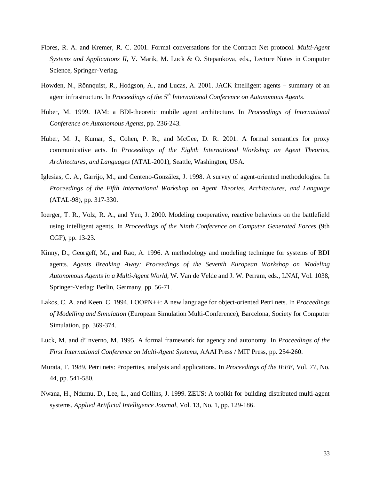- Flores, R. A. and Kremer, R. C. 2001. Formal conversations for the Contract Net protocol. *Multi-Agent Systems and Applications II*, V. Marik, M. Luck & O. Stepankova, eds., Lecture Notes in Computer Science, Springer-Verlag.
- Howden, N., Rönnquist, R., Hodgson, A., and Lucas, A. 2001. JACK intelligent agents summary of an agent infrastructure. In *Proceedings of the 5 th International Conference on Autonomous Agents*.
- Huber, M. 1999. JAM: a BDI-theoretic mobile agent architecture. In *Proceedings of International Conference on Autonomous Agents*, pp. 236-243.
- Huber, M. J., Kumar, S., Cohen, P. R., and McGee, D. R. 2001. A formal semantics for proxy communicative acts. In *Proceedings of the Eighth International Workshop on Agent Theories, Architectures, and Languages* (ATAL-2001)*,* Seattle, Washington, USA.
- Iglesias, C. A., Garrijo, M., and Centeno-González, J. 1998. A survey of agent-oriented methodologies. In *Proceedings of the Fifth International Workshop on Agent Theories, Architectures, and Language* (ATAL-98), pp. 317-330.
- Ioerger, T. R., Volz, R. A., and Yen, J. 2000. Modeling cooperative, reactive behaviors on the battlefield using intelligent agents. In *Proceedings of the Ninth Conference on Computer Generated Forces* (9th CGF), pp. 13-23.
- Kinny, D., Georgeff, M., and Rao, A. 1996. A methodology and modeling technique for systems of BDI agents. *Agents Breaking Away: Proceedings of the Seventh European Workshop on Modeling Autonomous Agents in a Multi-Agent World,* W. Van de Velde and J. W. Perram, eds., LNAI, Vol. 1038, Springer-Verlag: Berlin, Germany, pp. 56-71.
- Lakos, C. A. and Keen, C. 1994. LOOPN++: A new language for object-oriented Petri nets. In *Proceedings of Modelling and Simulation* (European Simulation Multi-Conference), Barcelona, Society for Computer Simulation, pp. 369-374.
- Luck, M. and d'Inverno, M. 1995. A formal framework for agency and autonomy. In *Proceedings of the First International Conference on Multi-Agent Systems*, AAAI Press / MIT Press, pp. 254-260.
- Murata, T. 1989. Petri nets: Properties, analysis and applications. In *Proceedings of the IEEE*, Vol. 77, No. 44, pp. 541-580.
- Nwana, H., Ndumu, D., Lee, L., and Collins, J. 1999. ZEUS: A toolkit for building distributed multi-agent systems. *Applied Artificial Intelligence Journal*, Vol. 13, No. 1, pp. 129-186.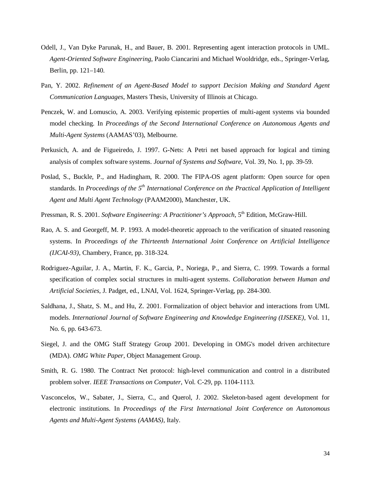- Odell, J., Van Dyke Parunak, H., and Bauer, B. 2001. Representing agent interaction protocols in UML. *Agent-Oriented Software Engineering*, Paolo Ciancarini and Michael Wooldridge, eds., Springer-Verlag, Berlin, pp. 121–140.
- Pan, Y. 2002. *Refinement of an Agent-Based Model to support Decision Making and Standard Agent Communication Languages*, Masters Thesis, University of Illinois at Chicago.
- Penczek, W. and Lomuscio, A. 2003. Verifying epistemic properties of multi-agent systems via bounded model checking. In *Proceedings of the Second International Conference on Autonomous Agents and Multi-Agent Systems* (AAMAS'03), Melbourne.
- Perkusich, A. and de Figueiredo, J. 1997. G-Nets: A Petri net based approach for logical and timing analysis of complex software systems. *Journal of Systems and Software*, Vol. 39, No. 1, pp. 39-59.
- Poslad, S., Buckle, P., and Hadingham, R. 2000. The FIPA-OS agent platform: Open source for open standards. In *Proceedings of the 5 th International Conference on the Practical Application of Intelligent Agent and Multi Agent Technology* (PAAM2000), Manchester, UK.
- Pressman, R. S. 2001. *Software Engineering: A Practitioner's Approach*, 5 th Edition, McGraw-Hill.
- Rao, A. S. and Georgeff, M. P. 1993. A model-theoretic approach to the verification of situated reasoning systems. In *Proceedings of the Thirteenth International Joint Conference on Artificial Intelligence (IJCAI-93)*, Chambery, France, pp. 318-324.
- Rodriguez-Aguilar, J. A., Martin, F. K., Garcia, P., Noriega, P., and Sierra, C. 1999. Towards a formal specification of complex social structures in multi-agent systems. *Collaboration between Human and Artificial Societies,* J. Padget, ed., LNAI, Vol. 1624, Springer-Verlag, pp. 284-300.
- Saldhana, J., Shatz, S. M., and Hu, Z. 2001. Formalization of object behavior and interactions from UML models. *International Journal of Software Engineering and Knowledge Engineering (IJSEKE)*, Vol. 11, No. 6, pp. 643-673.
- Siegel, J. and the OMG Staff Strategy Group 2001. Developing in OMG's model driven architecture (MDA). *OMG White Paper*, Object Management Group.
- Smith, R. G. 1980. The Contract Net protocol: high-level communication and control in a distributed problem solver. *IEEE Transactions on Computer*, Vol. C-29, pp. 1104-1113.
- Vasconcelos, W., Sabater, J., Sierra, C., and Querol, J. 2002. Skeleton-based agent development for electronic institutions. In *Proceedings of the First International Joint Conference on Autonomous Agents and Multi-Agent Systems (AAMAS)*, Italy.